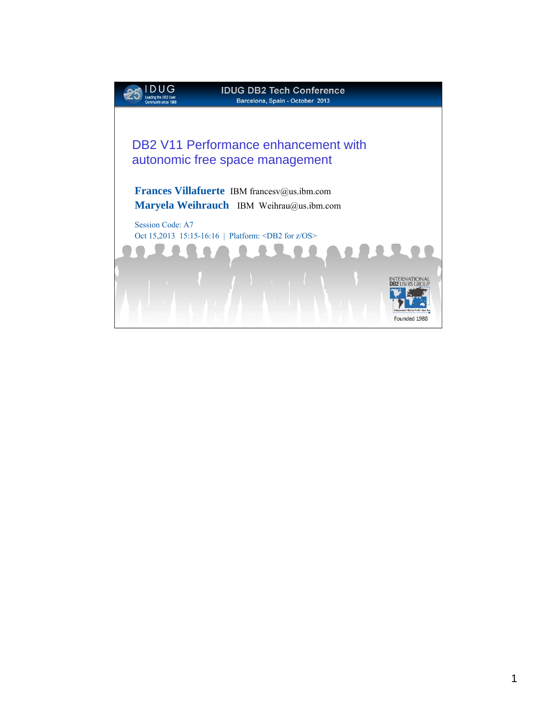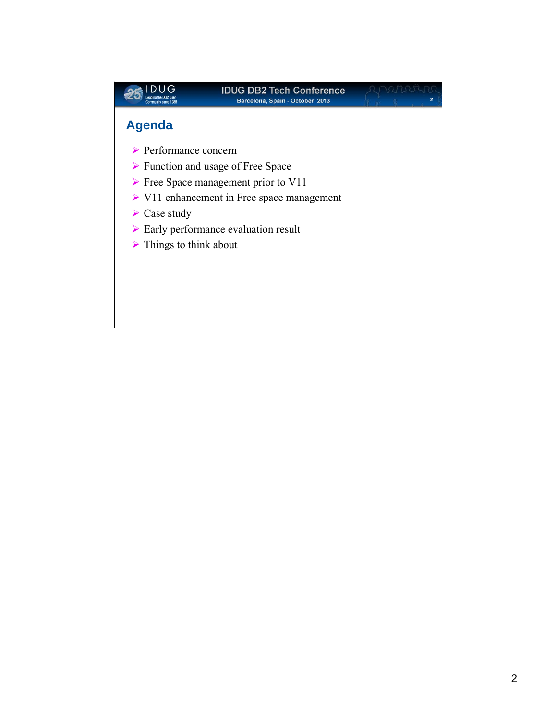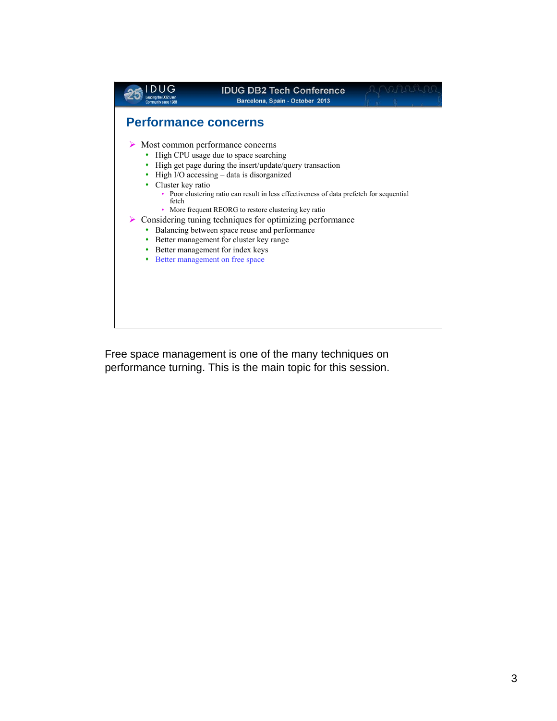

Free space management is one of the many techniques on performance turning. This is the main topic for this session.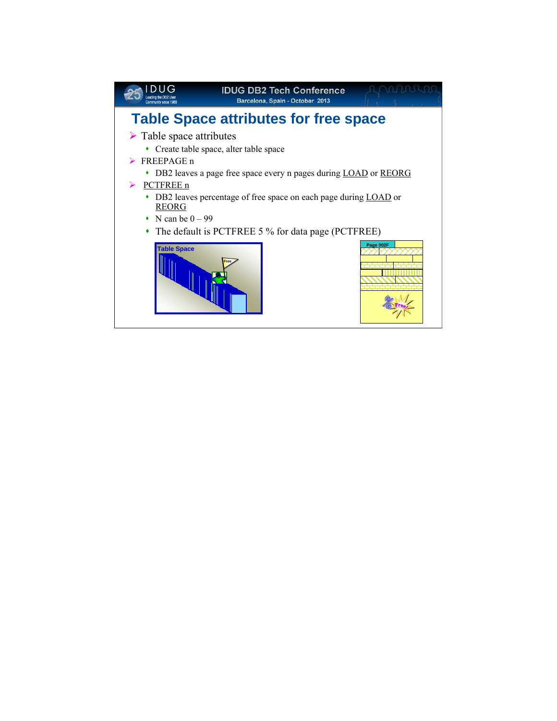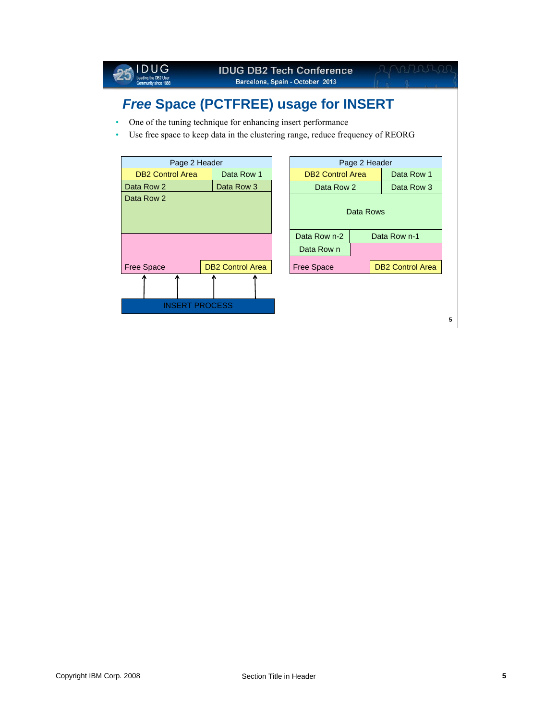

# *Free* **Space (PCTFREE) usage for INSERT**

- One of the tuning technique for enhancing insert performance
- Use free space to keep data in the clustering range, reduce frequency of REORG

| Page 2 Header           |                         |  | Page 2 Header           |  |                         |
|-------------------------|-------------------------|--|-------------------------|--|-------------------------|
| <b>DB2 Control Area</b> | Data Row 1              |  | <b>DB2 Control Area</b> |  | Data Row 1              |
| Data Row 2              | Data Row 3              |  | Data Row 2              |  | Data Row 3              |
| Data Row 2              |                         |  | Data Rows               |  |                         |
|                         |                         |  | Data Row n-2            |  | Data Row n-1            |
|                         |                         |  | Data Row n              |  |                         |
| Free Space              | <b>DB2 Control Area</b> |  | <b>Free Space</b>       |  | <b>DB2 Control Area</b> |
|                         |                         |  |                         |  |                         |
| <b>INSERT PROCESS</b>   |                         |  |                         |  |                         |
|                         |                         |  |                         |  |                         |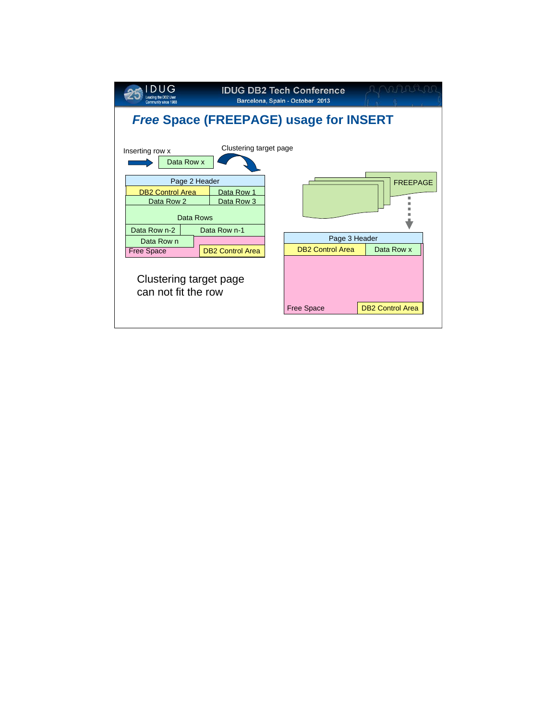| eading the DB2 User<br><b>Community since 1988</b>                  |                          | <b>IDUG DB2 Tech Conference</b><br>Barcelona, Spain - October 2013 |                         |  |  |  |  |
|---------------------------------------------------------------------|--------------------------|--------------------------------------------------------------------|-------------------------|--|--|--|--|
| <b>Free Space (FREEPAGE) usage for INSERT</b>                       |                          |                                                                    |                         |  |  |  |  |
| Inserting row x<br>Data Row x                                       | Clustering target page   |                                                                    |                         |  |  |  |  |
| Page 2 Header<br><b>DB2 Control Area</b><br>Data Row 2<br>Data Rows | Data Row 1<br>Data Row 3 |                                                                    | <b>FREEPAGE</b>         |  |  |  |  |
| Data Row n-2                                                        | Data Row n-1             | Page 3 Header                                                      |                         |  |  |  |  |
| Data Row n<br><b>Free Space</b>                                     | <b>DB2 Control Area</b>  | <b>DB2 Control Area</b>                                            | Data Row x              |  |  |  |  |
| Clustering target page<br>can not fit the row                       |                          | <b>Free Space</b>                                                  | <b>DB2 Control Area</b> |  |  |  |  |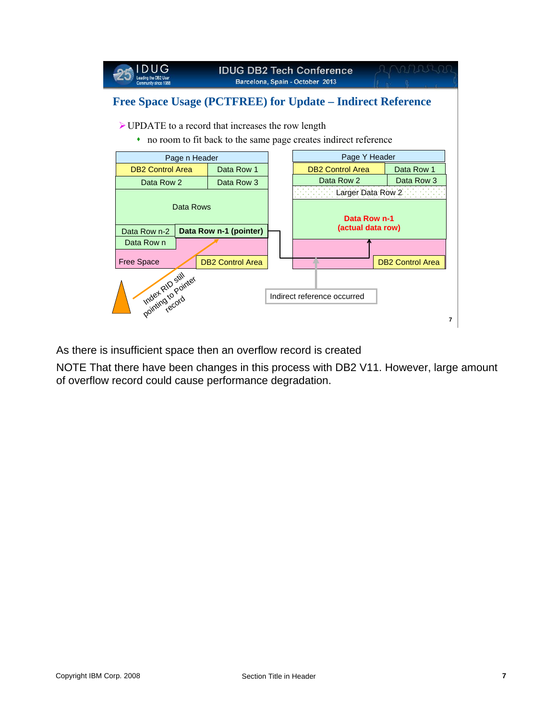

As there is insufficient space then an overflow record is created

NOTE That there have been changes in this process with DB2 V11. However, large amount of overflow record could cause performance degradation.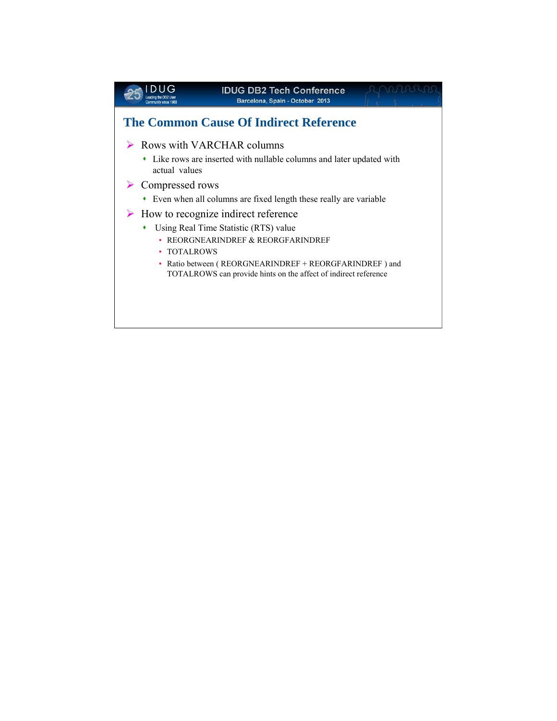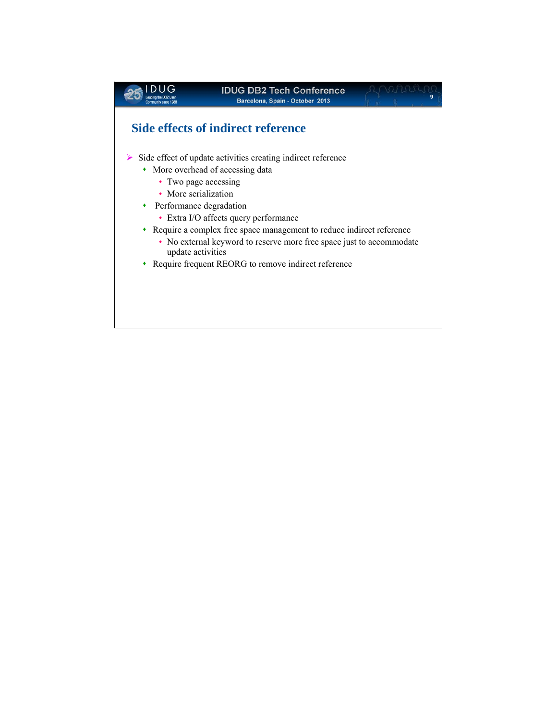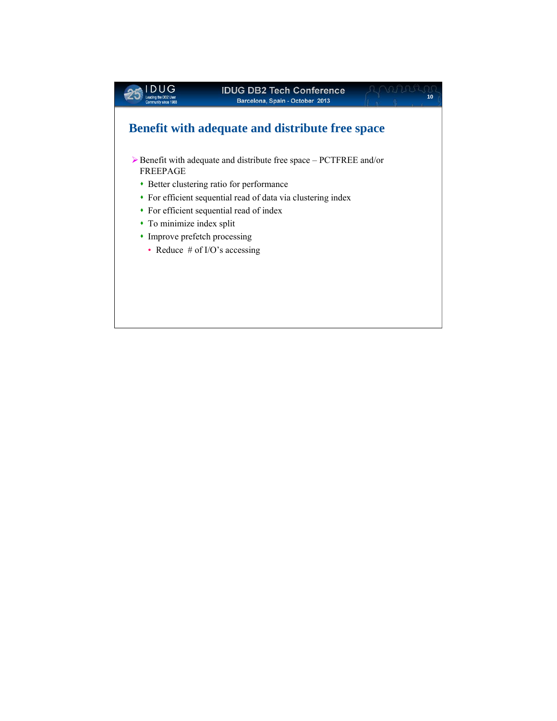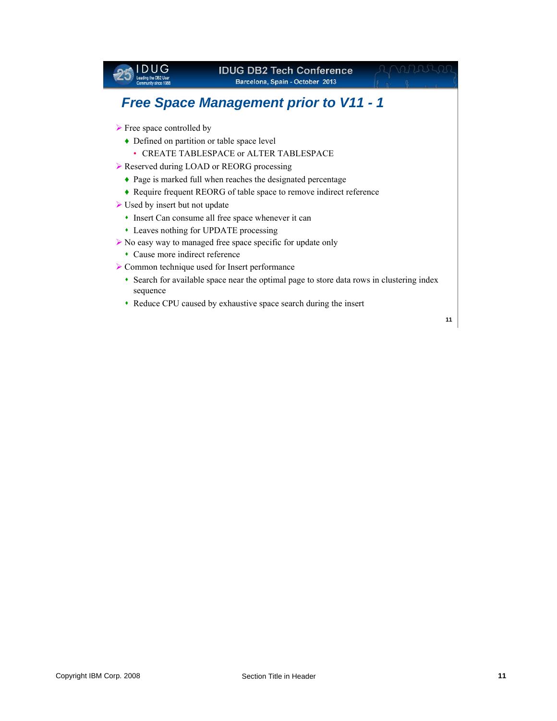### *Free Space Management prior to V11 - 1*

 $\triangleright$  Free space controlled by

Leading the DB2 User

- ♦ Defined on partition or table space level
	- CREATE TABLESPACE or ALTER TABLESPACE
- ▶ Reserved during LOAD or REORG processing
	- ♦ Page is marked full when reaches the designated percentage
	- ♦ Require frequent REORG of table space to remove indirect reference
- $\triangleright$  Used by insert but not update
	- Insert Can consume all free space whenever it can
	- Leaves nothing for UPDATE processing
- ¾ No easy way to managed free space specific for update only
	- Cause more indirect reference
- ¾ Common technique used for Insert performance
	- Search for available space near the optimal page to store data rows in clustering index sequence
	- Reduce CPU caused by exhaustive space search during the insert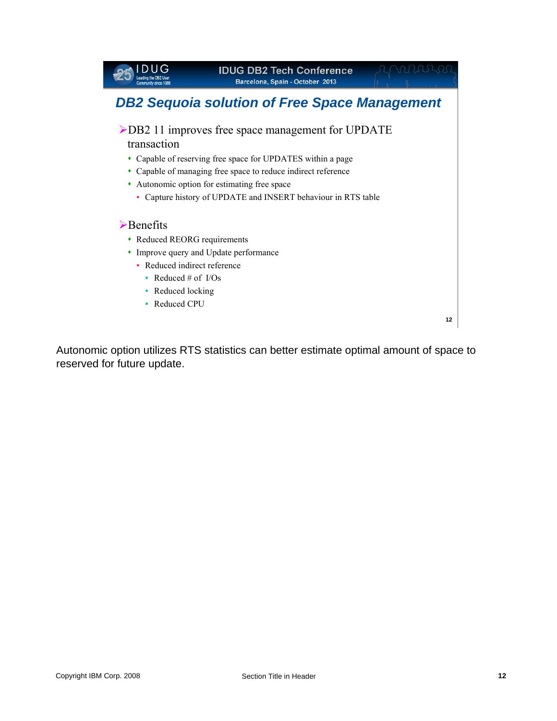## *DB2 Sequoia solution of Free Space Management*

- ¾DB2 11 improves free space management for UPDATE transaction
	- Capable of reserving free space for UPDATES within a page
	- Capable of managing free space to reduce indirect reference
	- Autonomic option for estimating free space
		- Capture history of UPDATE and INSERT behaviour in RTS table

### ¾Benefits

**DUG** 

Leading the DB2 User

- Reduced REORG requirements
- Improve query and Update performance
	- Reduced indirect reference
		- Reduced # of I/Os
		- Reduced locking
		- Reduced CPU

**12**

195540

Autonomic option utilizes RTS statistics can better estimate optimal amount of space to reserved for future update.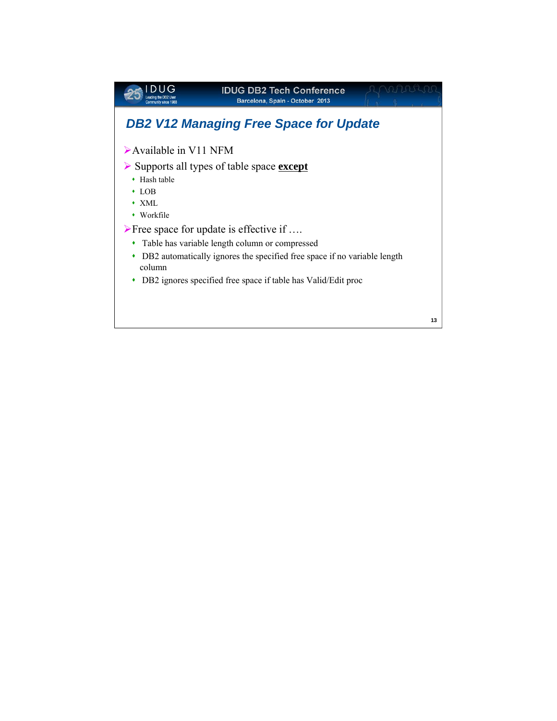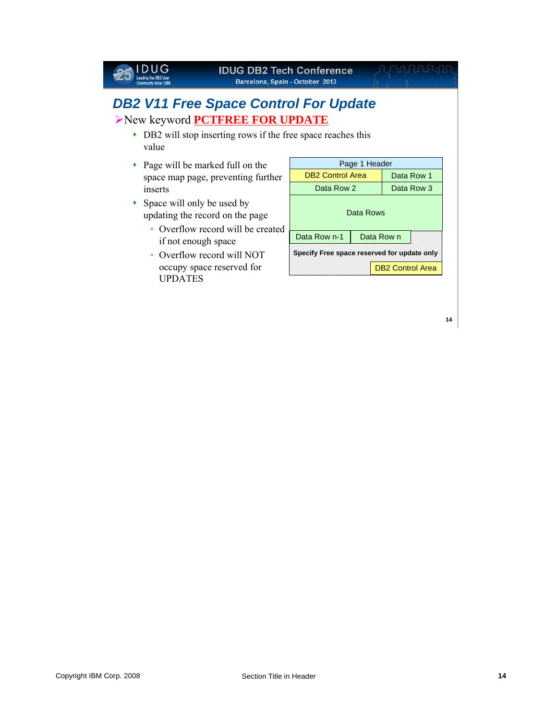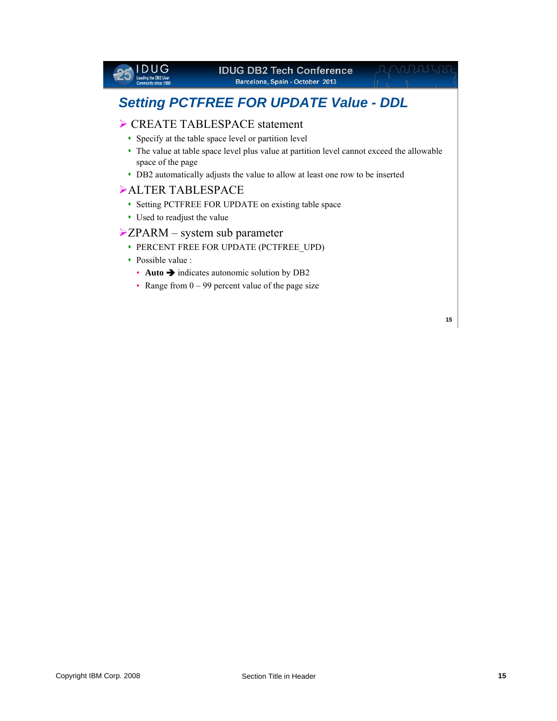

DB2 automatically adjusts the value to allow at least one row to be inserted

### ¾ALTER TABLESPACE

- Setting PCTFREE FOR UPDATE on existing table space
- Used to readjust the value

### $\blacktriangleright$  ZPARM – system sub parameter

- PERCENT FREE FOR UPDATE (PCTFREE\_UPD)
- Possible value :
	- **Auto**  $\rightarrow$  indicates autonomic solution by DB2
	- Range from  $0 99$  percent value of the page size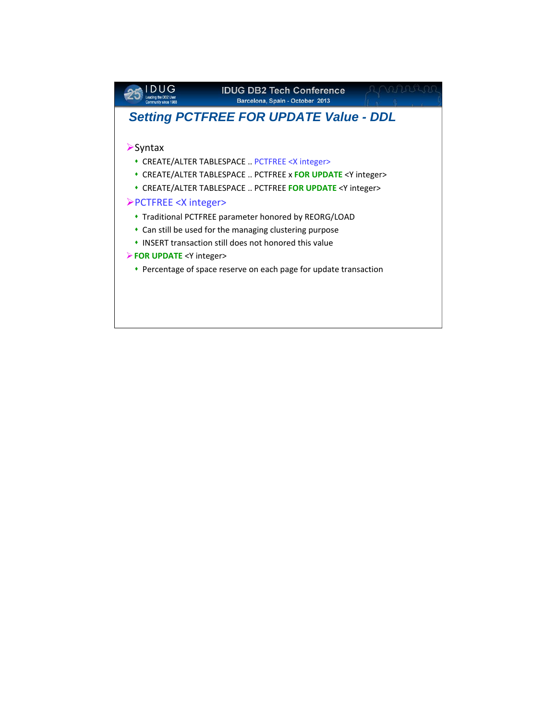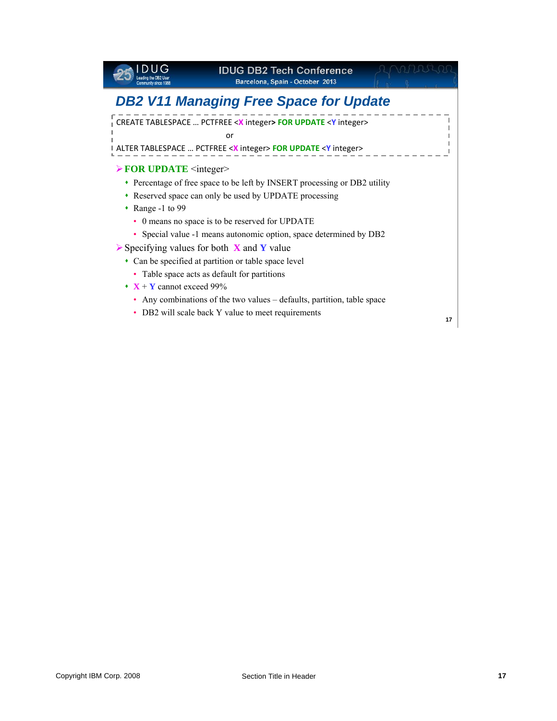

#### **IDUG DB2 Tech Conference Barcelona, Spain - October 2013**

## *DB2 V11 Managing Free Space for Update*

CREATE TABLESPACE … PCTFREE <**X** integer**> FOR UPDATE** <**Y** integer> or

ALTER TABLESPACE … PCTFREE <**X** integer> **FOR UPDATE** <**Y** integer>

#### **≻ FOR UPDATE** <integer>

- Percentage of free space to be left by INSERT processing or DB2 utility
- Reserved space can only be used by UPDATE processing
- Range -1 to 99
	- 0 means no space is to be reserved for UPDATE
	- Special value -1 means autonomic option, space determined by DB2
- ¾Specifying values for both **X** and **Y** value
	- Can be specified at partition or table space level
		- Table space acts as default for partitions
	- $\mathbf{X} + \mathbf{Y}$  cannot exceed 99%
		- Any combinations of the two values defaults, partition, table space
		- DB2 will scale back Y value to meet requirements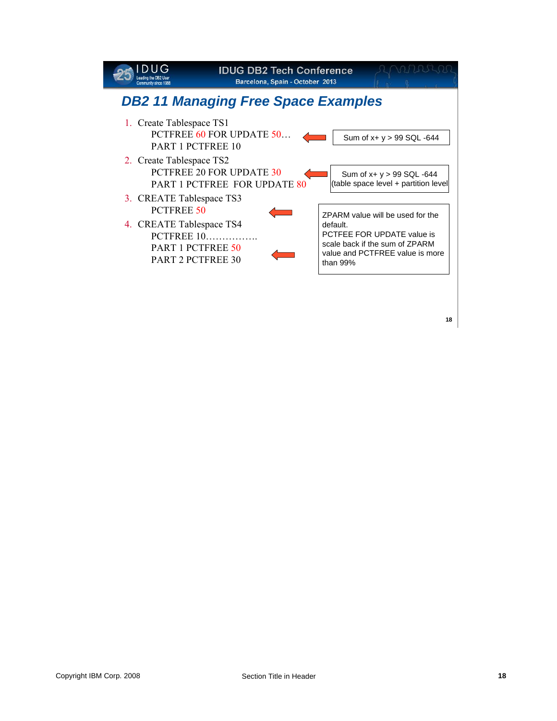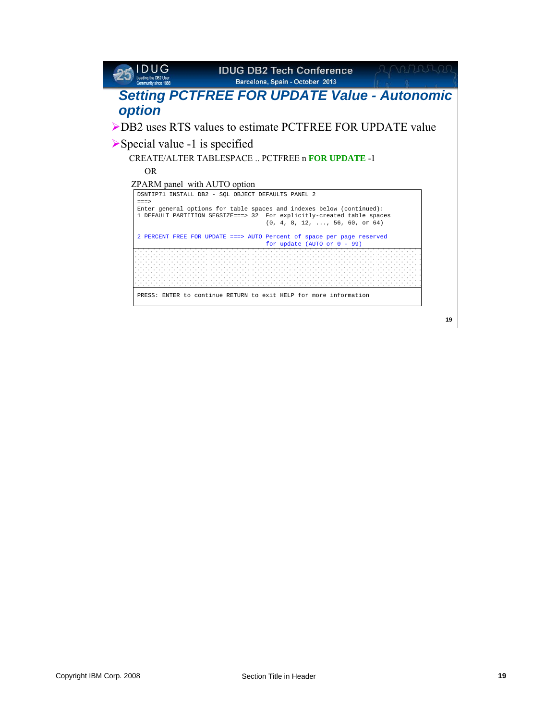| Community since 1988                                       | <b>IDUG DB2 Tech Conference</b><br>Barcelona, Spain - October 2013                                                                                                                                 |    |  |  |  |  |  |
|------------------------------------------------------------|----------------------------------------------------------------------------------------------------------------------------------------------------------------------------------------------------|----|--|--|--|--|--|
| <b>Setting PCTFREE FOR UPDATE Value - Autonomic</b>        |                                                                                                                                                                                                    |    |  |  |  |  |  |
| option                                                     |                                                                                                                                                                                                    |    |  |  |  |  |  |
| ▶ DB2 uses RTS values to estimate PCTFREE FOR UPDATE value |                                                                                                                                                                                                    |    |  |  |  |  |  |
| $\triangleright$ Special value -1 is specified             |                                                                                                                                                                                                    |    |  |  |  |  |  |
| <b>CREATE/ALTER TABLESPACE PCTFREE n FOR UPDATE -1</b>     |                                                                                                                                                                                                    |    |  |  |  |  |  |
| OR.                                                        |                                                                                                                                                                                                    |    |  |  |  |  |  |
| ZPARM panel with AUTO option                               |                                                                                                                                                                                                    |    |  |  |  |  |  |
| $===>$                                                     | DSNTIP71 INSTALL DB2 - SOL OBJECT DEFAULTS PANEL 2                                                                                                                                                 |    |  |  |  |  |  |
|                                                            | Enter general options for table spaces and indexes below (continued):<br>1 DEFAULT PARTITION SEGSIZE===> 32 For explicitly-created table spaces<br>$(0, 4, 8, 12, \ldots, 56, 60, \text{ or } 64)$ |    |  |  |  |  |  |
|                                                            | 2 PERCENT FREE FOR UPDATE ===> AUTO Percent of space per page reserved<br>for update (AUTO or $0 - 99$ )                                                                                           |    |  |  |  |  |  |
|                                                            |                                                                                                                                                                                                    |    |  |  |  |  |  |
|                                                            | PRESS: ENTER to continue RETURN to exit HELP for more information                                                                                                                                  |    |  |  |  |  |  |
|                                                            |                                                                                                                                                                                                    | 19 |  |  |  |  |  |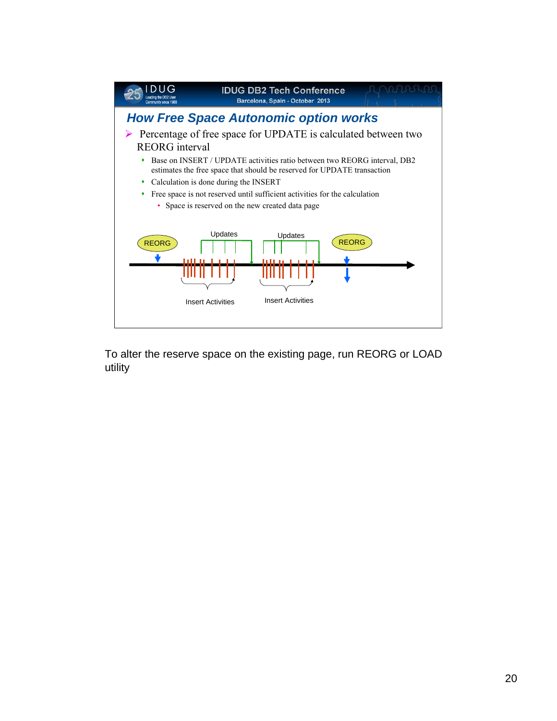

To alter the reserve space on the existing page, run REORG or LOAD utility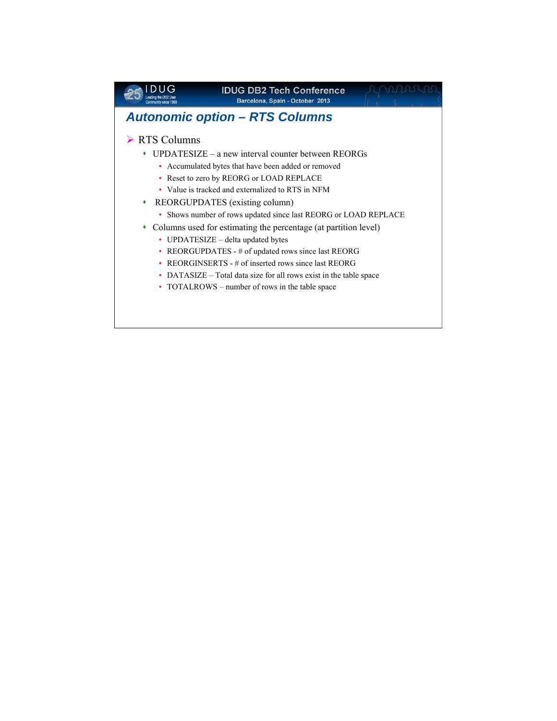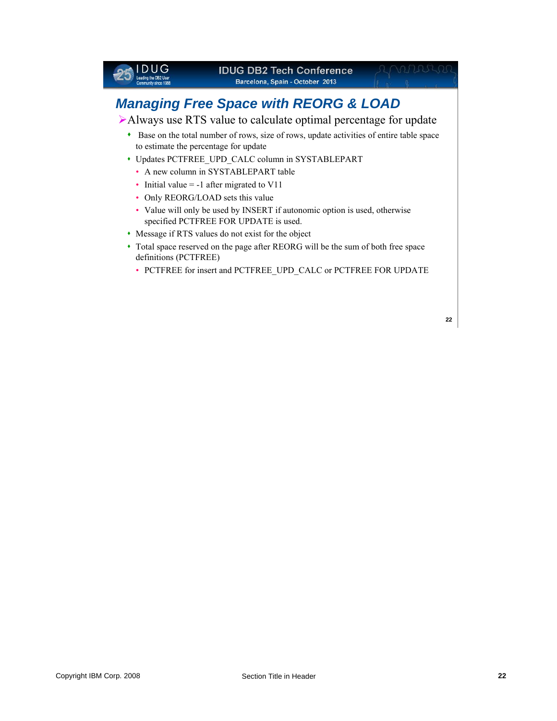

- Message if RTS values do not exist for the object
- Total space reserved on the page after REORG will be the sum of both free space definitions (PCTFREE)
	- PCTFREE for insert and PCTFREE\_UPD\_CALC or PCTFREE FOR UPDATE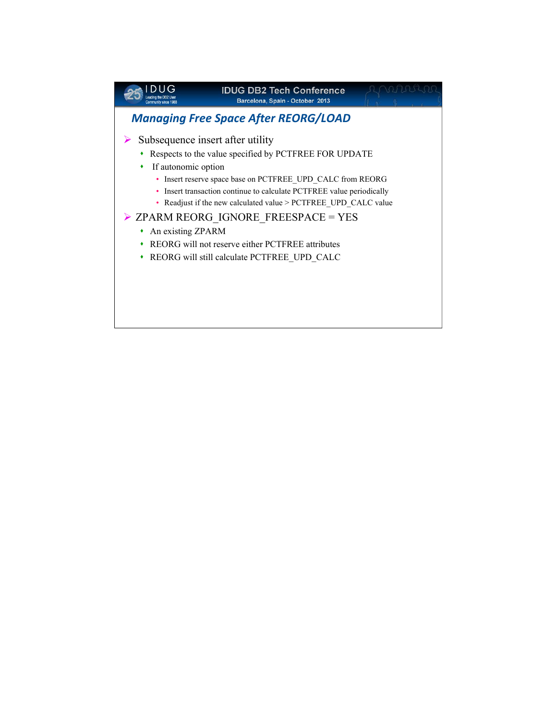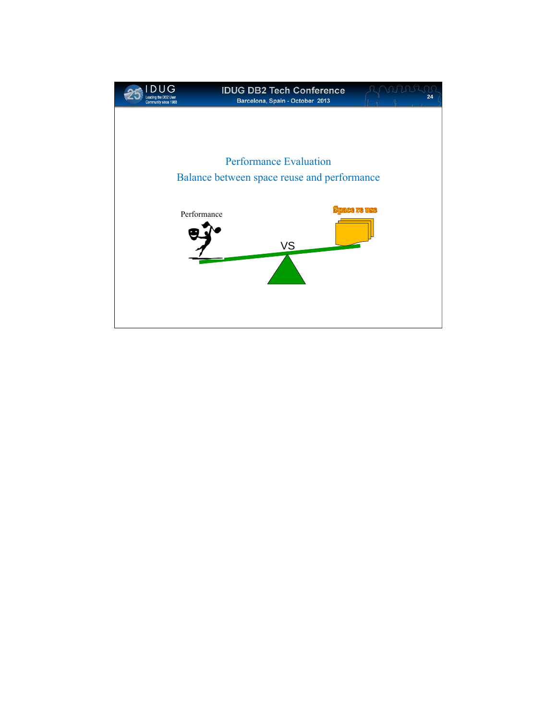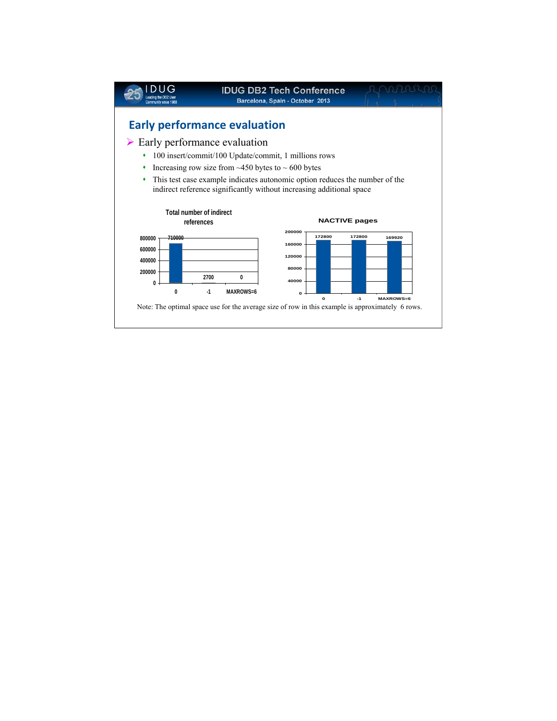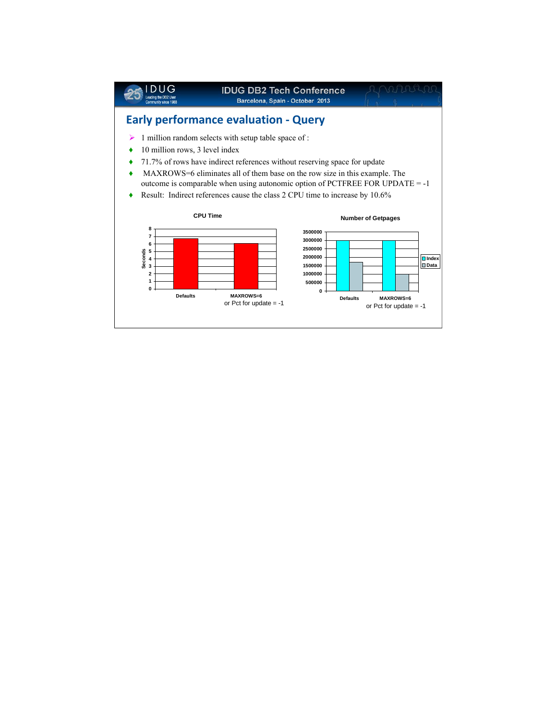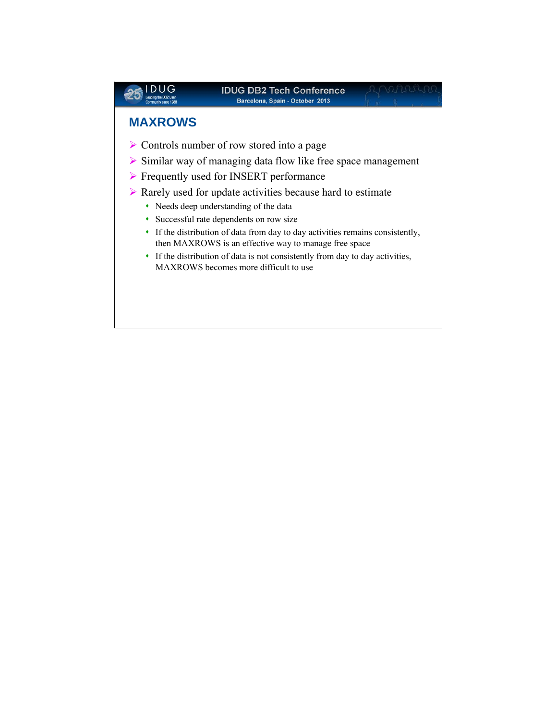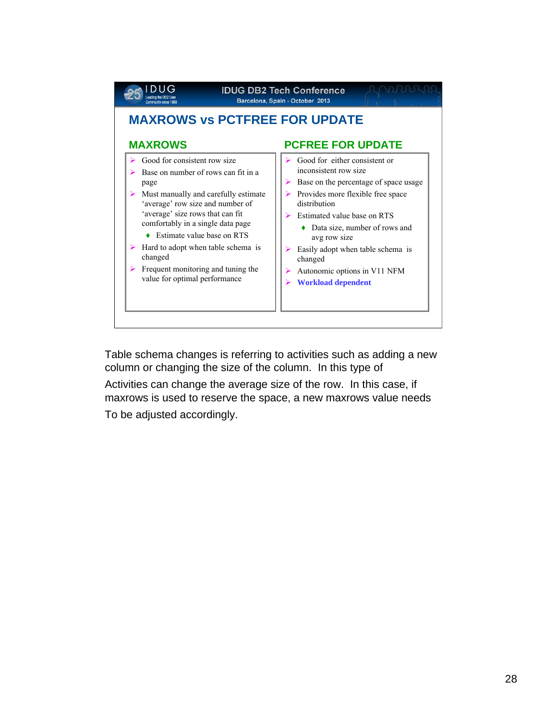

Table schema changes is referring to activities such as adding a new column or changing the size of the column. In this type of

Activities can change the average size of the row. In this case, if maxrows is used to reserve the space, a new maxrows value needs

To be adjusted accordingly.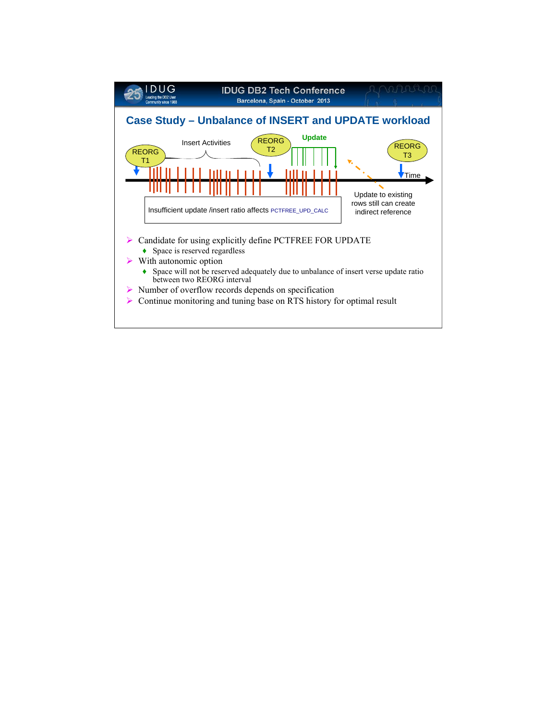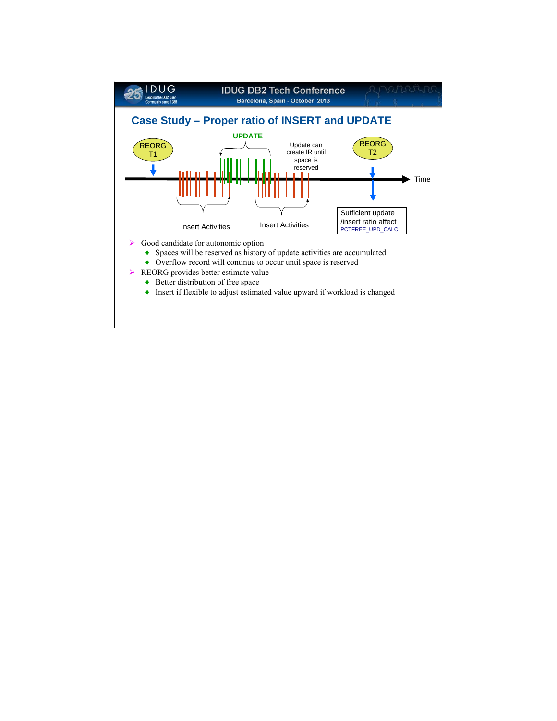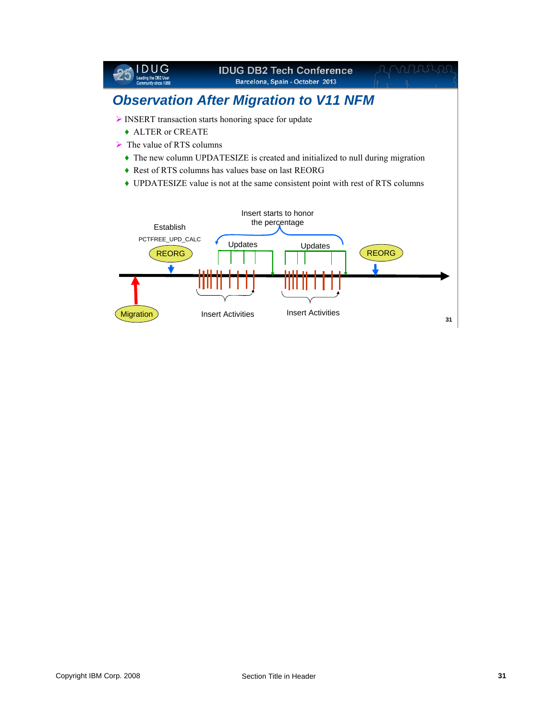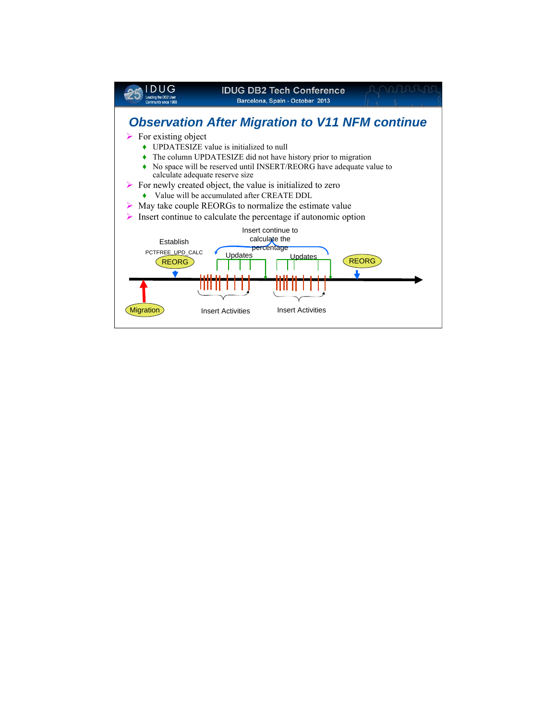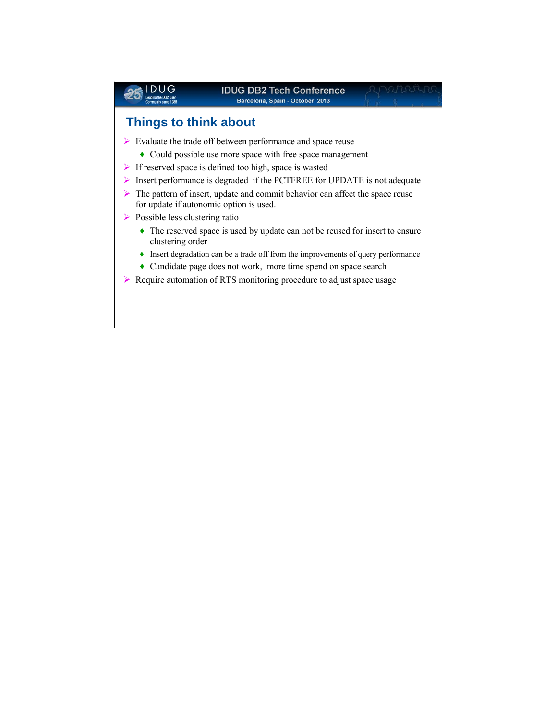